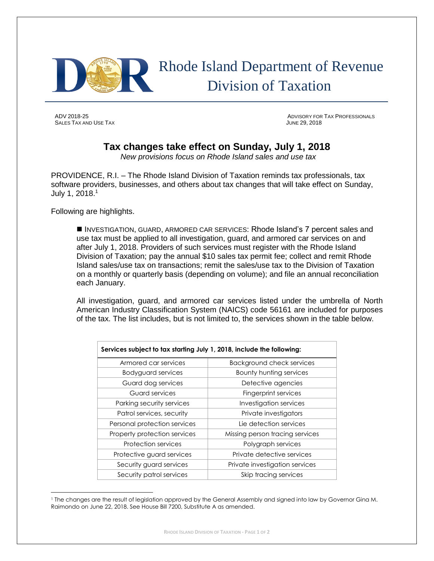

## Rhode Island Department of Revenue Division of Taxation

SALES TAX AND USE TAX **SALES TAX AND USE TAX** 

ADV 2018-25 ADVISORY FOR TAX PROFESSIONALS

## **Tax changes take effect on Sunday, July 1, 2018**

*New provisions focus on Rhode Island sales and use tax*

PROVIDENCE, R.I. – The Rhode Island Division of Taxation reminds tax professionals, tax software providers, businesses, and others about tax changes that will take effect on Sunday, July 1, 2018.<sup>1</sup>

Following are highlights.

 INVESTIGATION, GUARD, ARMORED CAR SERVICES: Rhode Island's 7 percent sales and use tax must be applied to all investigation, guard, and armored car services on and after July 1, 2018. Providers of such services must register with the Rhode Island Division of Taxation; pay the annual \$10 sales tax permit fee; collect and remit Rhode Island sales/use tax on transactions; remit the sales/use tax to the Division of Taxation on a monthly or quarterly basis (depending on volume); and file an annual reconciliation each January.

All investigation, guard, and armored car services listed under the umbrella of North American Industry Classification System (NAICS) code 56161 are included for purposes of the tax. The list includes, but is not limited to, the services shown in the table below.

| Services subject to tax starting July 1, 2018, include the following: |                                 |
|-----------------------------------------------------------------------|---------------------------------|
| Armored car services                                                  | Background check services       |
| Bodyguard services                                                    | Bounty hunting services         |
| Guard dog services                                                    | Detective agencies              |
| Guard services                                                        | Fingerprint services            |
| Parking security services                                             | Investigation services          |
| Patrol services, security                                             | Private investigators           |
| Personal protection services                                          | Lie detection services          |
| Property protection services                                          | Missing person tracing services |
| <b>Protection services</b>                                            | Polygraph services              |
| Protective guard services                                             | Private detective services      |
| Security guard services                                               | Private investigation services  |
| Security patrol services                                              | Skip tracing services           |

 $\overline{\phantom{a}}$ <sup>1</sup> The changes are the result of legislation approved by the General Assembly and signed into law by Governor Gina M. Raimondo on June 22, 2018. See House Bill 7200, Substitute A as amended.